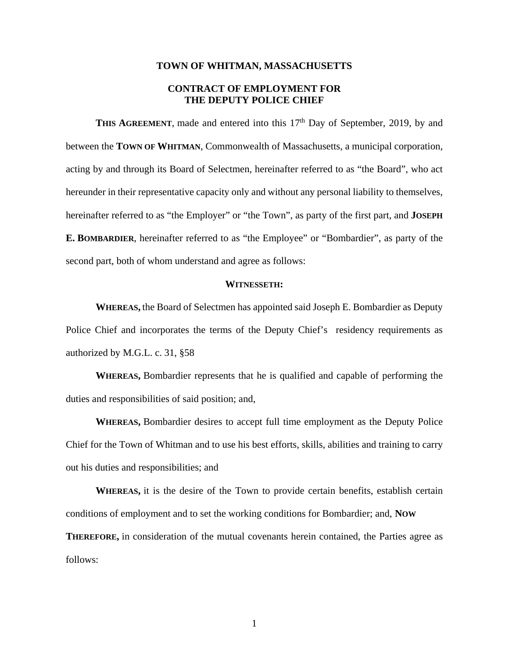#### **TOWN OF WHITMAN, MASSACHUSETTS**

# **CONTRACT OF EMPLOYMENT FOR THE DEPUTY POLICE CHIEF**

**THIS AGREEMENT**, made and entered into this 17<sup>th</sup> Day of September, 2019, by and between the **TOWN OF WHITMAN**, Commonwealth of Massachusetts, a municipal corporation, acting by and through its Board of Selectmen, hereinafter referred to as "the Board", who act hereunder in their representative capacity only and without any personal liability to themselves, hereinafter referred to as "the Employer" or "the Town", as party of the first part, and **JOSEPH E. BOMBARDIER**, hereinafter referred to as "the Employee" or "Bombardier", as party of the second part, both of whom understand and agree as follows:

### **WITNESSETH:**

**WHEREAS,** the Board of Selectmen has appointed said Joseph E. Bombardier as Deputy Police Chief and incorporates the terms of the Deputy Chief's residency requirements as authorized by M.G.L. c. 31, §58

**WHEREAS,** Bombardier represents that he is qualified and capable of performing the duties and responsibilities of said position; and,

**WHEREAS,** Bombardier desires to accept full time employment as the Deputy Police Chief for the Town of Whitman and to use his best efforts, skills, abilities and training to carry out his duties and responsibilities; and

**WHEREAS,** it is the desire of the Town to provide certain benefits, establish certain conditions of employment and to set the working conditions for Bombardier; and, **NOW THEREFORE,** in consideration of the mutual covenants herein contained, the Parties agree as follows: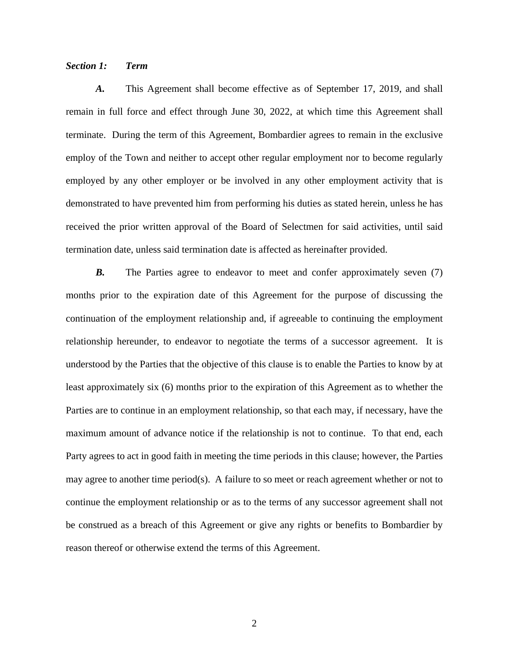## *Section 1: Term*

*A.* This Agreement shall become effective as of September 17, 2019, and shall remain in full force and effect through June 30, 2022, at which time this Agreement shall terminate. During the term of this Agreement, Bombardier agrees to remain in the exclusive employ of the Town and neither to accept other regular employment nor to become regularly employed by any other employer or be involved in any other employment activity that is demonstrated to have prevented him from performing his duties as stated herein, unless he has received the prior written approval of the Board of Selectmen for said activities, until said termination date, unless said termination date is affected as hereinafter provided.

*B.* The Parties agree to endeavor to meet and confer approximately seven (7) months prior to the expiration date of this Agreement for the purpose of discussing the continuation of the employment relationship and, if agreeable to continuing the employment relationship hereunder, to endeavor to negotiate the terms of a successor agreement. It is understood by the Parties that the objective of this clause is to enable the Parties to know by at least approximately six (6) months prior to the expiration of this Agreement as to whether the Parties are to continue in an employment relationship, so that each may, if necessary, have the maximum amount of advance notice if the relationship is not to continue. To that end, each Party agrees to act in good faith in meeting the time periods in this clause; however, the Parties may agree to another time period(s). A failure to so meet or reach agreement whether or not to continue the employment relationship or as to the terms of any successor agreement shall not be construed as a breach of this Agreement or give any rights or benefits to Bombardier by reason thereof or otherwise extend the terms of this Agreement.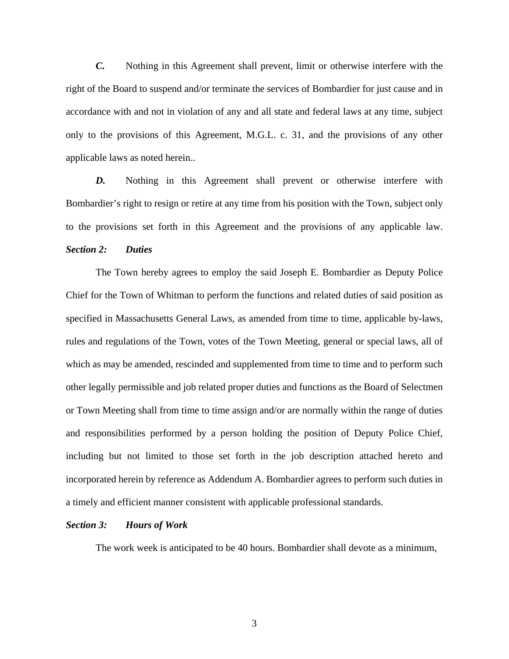*C.* Nothing in this Agreement shall prevent, limit or otherwise interfere with the right of the Board to suspend and/or terminate the services of Bombardier for just cause and in accordance with and not in violation of any and all state and federal laws at any time, subject only to the provisions of this Agreement, M.G.L. c. 31, and the provisions of any other applicable laws as noted herein..

*D.* Nothing in this Agreement shall prevent or otherwise interfere with Bombardier's right to resign or retire at any time from his position with the Town, subject only to the provisions set forth in this Agreement and the provisions of any applicable law. *Section 2: Duties* 

 The Town hereby agrees to employ the said Joseph E. Bombardier as Deputy Police Chief for the Town of Whitman to perform the functions and related duties of said position as specified in Massachusetts General Laws, as amended from time to time, applicable by-laws, rules and regulations of the Town, votes of the Town Meeting, general or special laws, all of which as may be amended, rescinded and supplemented from time to time and to perform such other legally permissible and job related proper duties and functions as the Board of Selectmen or Town Meeting shall from time to time assign and/or are normally within the range of duties and responsibilities performed by a person holding the position of Deputy Police Chief, including but not limited to those set forth in the job description attached hereto and incorporated herein by reference as Addendum A. Bombardier agrees to perform such duties in a timely and efficient manner consistent with applicable professional standards.

#### *Section 3: Hours of Work*

The work week is anticipated to be 40 hours. Bombardier shall devote as a minimum,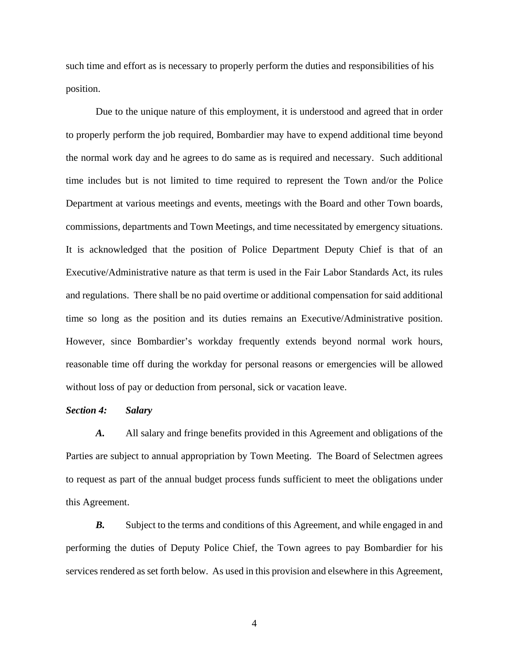such time and effort as is necessary to properly perform the duties and responsibilities of his position.

 Due to the unique nature of this employment, it is understood and agreed that in order to properly perform the job required, Bombardier may have to expend additional time beyond the normal work day and he agrees to do same as is required and necessary. Such additional time includes but is not limited to time required to represent the Town and/or the Police Department at various meetings and events, meetings with the Board and other Town boards, commissions, departments and Town Meetings, and time necessitated by emergency situations. It is acknowledged that the position of Police Department Deputy Chief is that of an Executive/Administrative nature as that term is used in the Fair Labor Standards Act, its rules and regulations. There shall be no paid overtime or additional compensation for said additional time so long as the position and its duties remains an Executive/Administrative position. However, since Bombardier's workday frequently extends beyond normal work hours, reasonable time off during the workday for personal reasons or emergencies will be allowed without loss of pay or deduction from personal, sick or vacation leave.

#### *Section 4: Salary*

*A.* All salary and fringe benefits provided in this Agreement and obligations of the Parties are subject to annual appropriation by Town Meeting. The Board of Selectmen agrees to request as part of the annual budget process funds sufficient to meet the obligations under this Agreement.

**B.** Subject to the terms and conditions of this Agreement, and while engaged in and performing the duties of Deputy Police Chief, the Town agrees to pay Bombardier for his services rendered as set forth below. As used in this provision and elsewhere in this Agreement,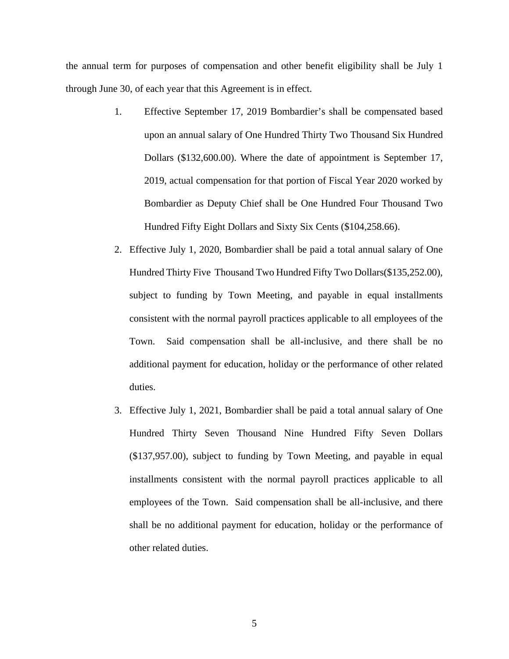the annual term for purposes of compensation and other benefit eligibility shall be July 1 through June 30, of each year that this Agreement is in effect.

- 1. Effective September 17, 2019 Bombardier's shall be compensated based upon an annual salary of One Hundred Thirty Two Thousand Six Hundred Dollars (\$132,600.00). Where the date of appointment is September 17, 2019, actual compensation for that portion of Fiscal Year 2020 worked by Bombardier as Deputy Chief shall be One Hundred Four Thousand Two Hundred Fifty Eight Dollars and Sixty Six Cents (\$104,258.66).
- 2. Effective July 1, 2020, Bombardier shall be paid a total annual salary of One Hundred Thirty Five Thousand Two Hundred Fifty Two Dollars(\$135,252.00), subject to funding by Town Meeting, and payable in equal installments consistent with the normal payroll practices applicable to all employees of the Town. Said compensation shall be all-inclusive, and there shall be no additional payment for education, holiday or the performance of other related duties.
- 3. Effective July 1, 2021, Bombardier shall be paid a total annual salary of One Hundred Thirty Seven Thousand Nine Hundred Fifty Seven Dollars (\$137,957.00), subject to funding by Town Meeting, and payable in equal installments consistent with the normal payroll practices applicable to all employees of the Town. Said compensation shall be all-inclusive, and there shall be no additional payment for education, holiday or the performance of other related duties.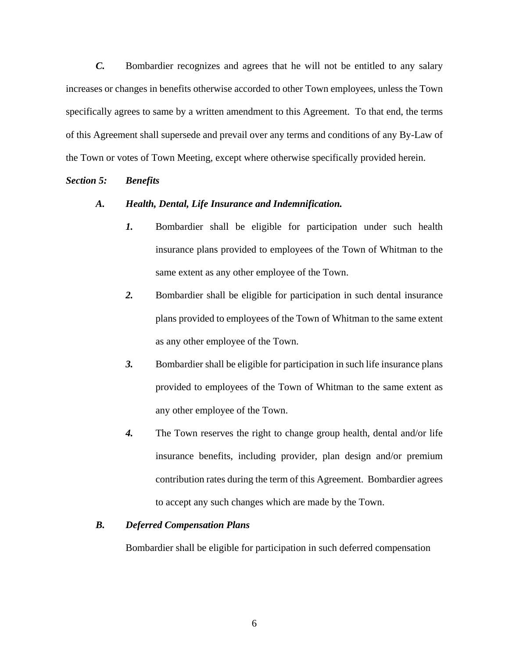*C.* Bombardier recognizes and agrees that he will not be entitled to any salary increases or changes in benefits otherwise accorded to other Town employees, unless the Town specifically agrees to same by a written amendment to this Agreement. To that end, the terms of this Agreement shall supersede and prevail over any terms and conditions of any By-Law of the Town or votes of Town Meeting, except where otherwise specifically provided herein.

## *Section 5: Benefits*

## *A. Health, Dental, Life Insurance and Indemnification.*

- *1.* Bombardier shall be eligible for participation under such health insurance plans provided to employees of the Town of Whitman to the same extent as any other employee of the Town.
- *2.* Bombardier shall be eligible for participation in such dental insurance plans provided to employees of the Town of Whitman to the same extent as any other employee of the Town.
- *3.* Bombardier shall be eligible for participation in such life insurance plans provided to employees of the Town of Whitman to the same extent as any other employee of the Town.
- *4.* The Town reserves the right to change group health, dental and/or life insurance benefits, including provider, plan design and/or premium contribution rates during the term of this Agreement. Bombardier agrees to accept any such changes which are made by the Town.

## *B. Deferred Compensation Plans*

Bombardier shall be eligible for participation in such deferred compensation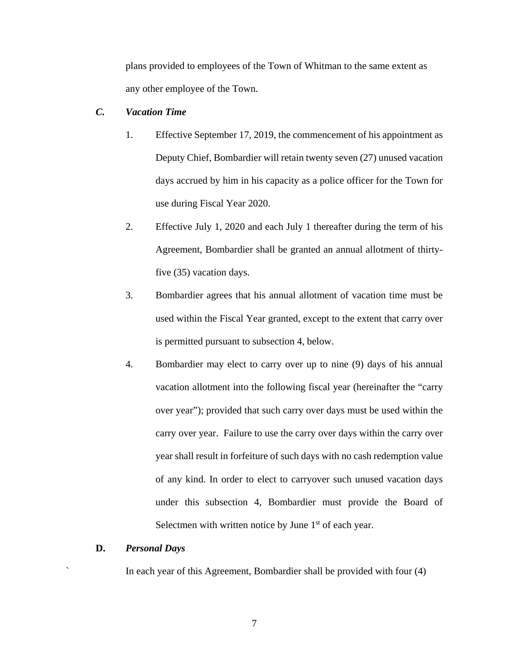plans provided to employees of the Town of Whitman to the same extent as any other employee of the Town.

# *C. Vacation Time*

- 1. Effective September 17, 2019, the commencement of his appointment as Deputy Chief, Bombardier will retain twenty seven (27) unused vacation days accrued by him in his capacity as a police officer for the Town for use during Fiscal Year 2020.
- 2. Effective July 1, 2020 and each July 1 thereafter during the term of his Agreement, Bombardier shall be granted an annual allotment of thirtyfive (35) vacation days.
- 3. Bombardier agrees that his annual allotment of vacation time must be used within the Fiscal Year granted, except to the extent that carry over is permitted pursuant to subsection 4, below.
- 4. Bombardier may elect to carry over up to nine (9) days of his annual vacation allotment into the following fiscal year (hereinafter the "carry over year"); provided that such carry over days must be used within the carry over year. Failure to use the carry over days within the carry over year shall result in forfeiture of such days with no cash redemption value of any kind. In order to elect to carryover such unused vacation days under this subsection 4, Bombardier must provide the Board of Selectmen with written notice by June  $1<sup>st</sup>$  of each year.

## **D.** *Personal Days*

` In each year of this Agreement, Bombardier shall be provided with four (4)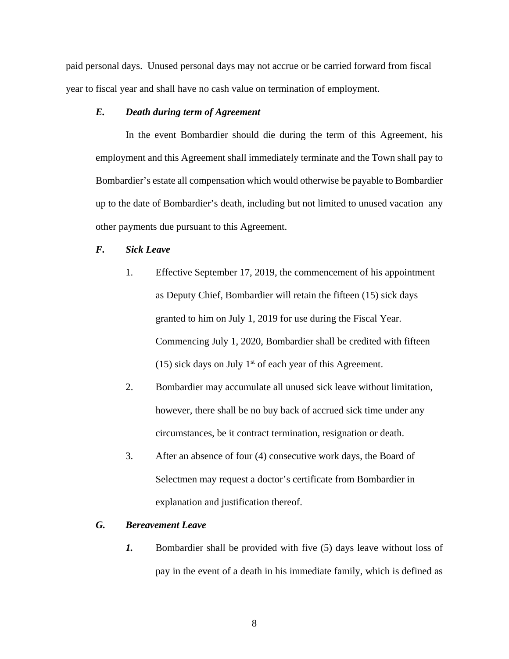paid personal days. Unused personal days may not accrue or be carried forward from fiscal year to fiscal year and shall have no cash value on termination of employment.

# *E. Death during term of Agreement*

In the event Bombardier should die during the term of this Agreement, his employment and this Agreement shall immediately terminate and the Town shall pay to Bombardier's estate all compensation which would otherwise be payable to Bombardier up to the date of Bombardier's death, including but not limited to unused vacation any other payments due pursuant to this Agreement.

# *F. Sick Leave*

- 1. Effective September 17, 2019, the commencement of his appointment as Deputy Chief, Bombardier will retain the fifteen (15) sick days granted to him on July 1, 2019 for use during the Fiscal Year. Commencing July 1, 2020, Bombardier shall be credited with fifteen (15) sick days on July  $1<sup>st</sup>$  of each year of this Agreement.
- 2. Bombardier may accumulate all unused sick leave without limitation, however, there shall be no buy back of accrued sick time under any circumstances, be it contract termination, resignation or death.
- 3. After an absence of four (4) consecutive work days, the Board of Selectmen may request a doctor's certificate from Bombardier in explanation and justification thereof.

## *G. Bereavement Leave*

*1.* Bombardier shall be provided with five (5) days leave without loss of pay in the event of a death in his immediate family, which is defined as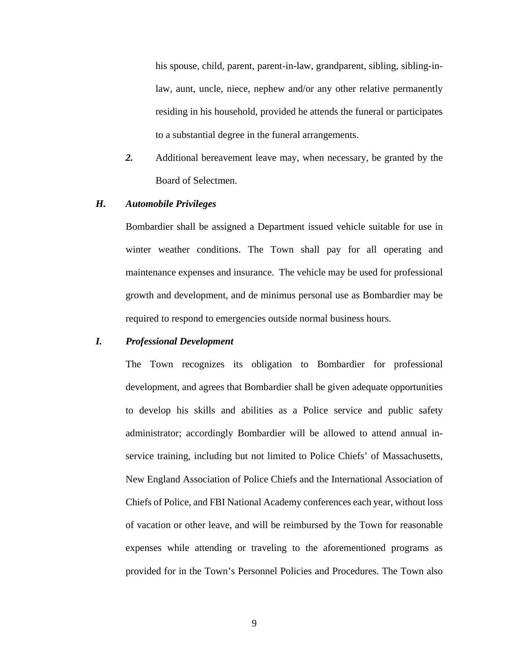his spouse, child, parent, parent-in-law, grandparent, sibling, sibling-inlaw, aunt, uncle, niece, nephew and/or any other relative permanently residing in his household, provided he attends the funeral or participates to a substantial degree in the funeral arrangements.

*2.* Additional bereavement leave may, when necessary, be granted by the Board of Selectmen.

## *H. Automobile Privileges*

 Bombardier shall be assigned a Department issued vehicle suitable for use in winter weather conditions. The Town shall pay for all operating and maintenance expenses and insurance. The vehicle may be used for professional growth and development, and de minimus personal use as Bombardier may be required to respond to emergencies outside normal business hours.

#### *I. Professional Development*

The Town recognizes its obligation to Bombardier for professional development, and agrees that Bombardier shall be given adequate opportunities to develop his skills and abilities as a Police service and public safety administrator; accordingly Bombardier will be allowed to attend annual inservice training, including but not limited to Police Chiefs' of Massachusetts, New England Association of Police Chiefs and the International Association of Chiefs of Police, and FBI National Academy conferences each year, without loss of vacation or other leave, and will be reimbursed by the Town for reasonable expenses while attending or traveling to the aforementioned programs as provided for in the Town's Personnel Policies and Procedures. The Town also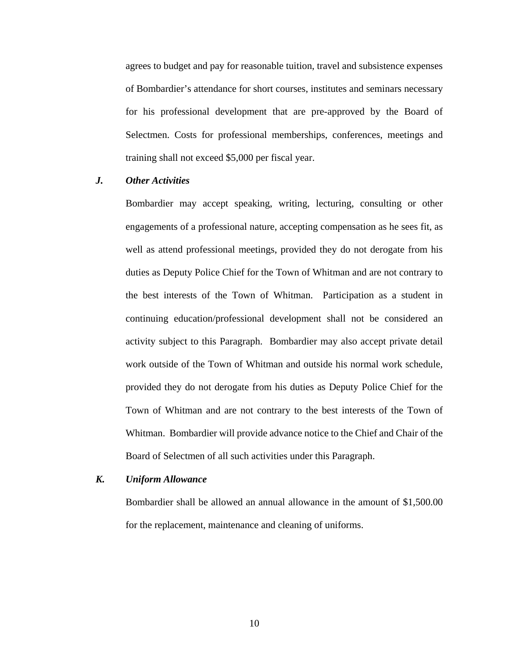agrees to budget and pay for reasonable tuition, travel and subsistence expenses of Bombardier's attendance for short courses, institutes and seminars necessary for his professional development that are pre-approved by the Board of Selectmen. Costs for professional memberships, conferences, meetings and training shall not exceed \$5,000 per fiscal year.

## *J. Other Activities*

Bombardier may accept speaking, writing, lecturing, consulting or other engagements of a professional nature, accepting compensation as he sees fit, as well as attend professional meetings, provided they do not derogate from his duties as Deputy Police Chief for the Town of Whitman and are not contrary to the best interests of the Town of Whitman. Participation as a student in continuing education/professional development shall not be considered an activity subject to this Paragraph. Bombardier may also accept private detail work outside of the Town of Whitman and outside his normal work schedule, provided they do not derogate from his duties as Deputy Police Chief for the Town of Whitman and are not contrary to the best interests of the Town of Whitman. Bombardier will provide advance notice to the Chief and Chair of the Board of Selectmen of all such activities under this Paragraph.

#### *K. Uniform Allowance*

Bombardier shall be allowed an annual allowance in the amount of \$1,500.00 for the replacement, maintenance and cleaning of uniforms.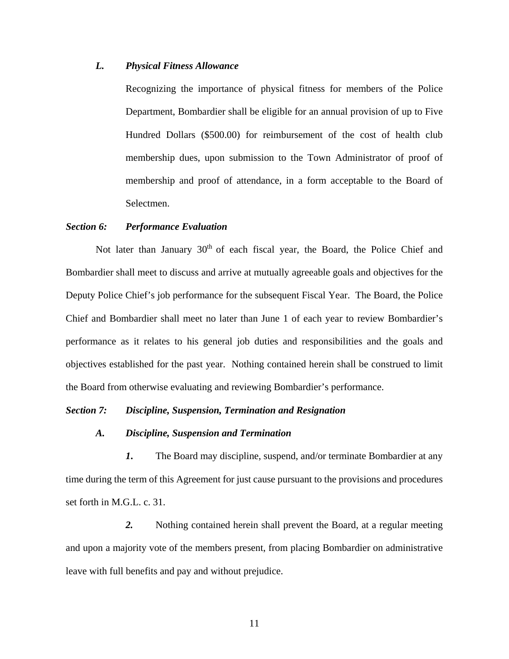# *L. Physical Fitness Allowance*

Recognizing the importance of physical fitness for members of the Police Department, Bombardier shall be eligible for an annual provision of up to Five Hundred Dollars (\$500.00) for reimbursement of the cost of health club membership dues, upon submission to the Town Administrator of proof of membership and proof of attendance, in a form acceptable to the Board of Selectmen.

#### *Section 6: Performance Evaluation*

Not later than January  $30<sup>th</sup>$  of each fiscal year, the Board, the Police Chief and Bombardier shall meet to discuss and arrive at mutually agreeable goals and objectives for the Deputy Police Chief's job performance for the subsequent Fiscal Year. The Board, the Police Chief and Bombardier shall meet no later than June 1 of each year to review Bombardier's performance as it relates to his general job duties and responsibilities and the goals and objectives established for the past year. Nothing contained herein shall be construed to limit the Board from otherwise evaluating and reviewing Bombardier's performance.

## *Section 7: Discipline, Suspension, Termination and Resignation*

## *A. Discipline, Suspension and Termination*

*1***.** The Board may discipline, suspend, and/or terminate Bombardier at any time during the term of this Agreement for just cause pursuant to the provisions and procedures set forth in M.G.L. c. 31.

 *2.* Nothing contained herein shall prevent the Board, at a regular meeting and upon a majority vote of the members present, from placing Bombardier on administrative leave with full benefits and pay and without prejudice.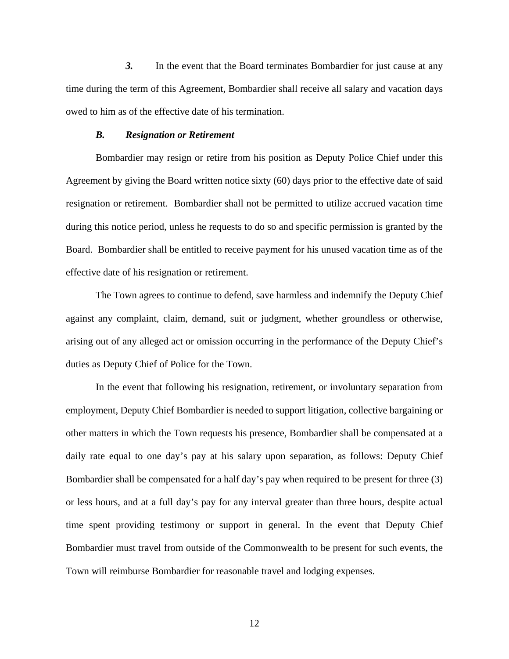*3.* In the event that the Board terminates Bombardier for just cause at any time during the term of this Agreement, Bombardier shall receive all salary and vacation days owed to him as of the effective date of his termination.

#### *B. Resignation or Retirement*

 Bombardier may resign or retire from his position as Deputy Police Chief under this Agreement by giving the Board written notice sixty (60) days prior to the effective date of said resignation or retirement. Bombardier shall not be permitted to utilize accrued vacation time during this notice period, unless he requests to do so and specific permission is granted by the Board. Bombardier shall be entitled to receive payment for his unused vacation time as of the effective date of his resignation or retirement.

 The Town agrees to continue to defend, save harmless and indemnify the Deputy Chief against any complaint, claim, demand, suit or judgment, whether groundless or otherwise, arising out of any alleged act or omission occurring in the performance of the Deputy Chief's duties as Deputy Chief of Police for the Town.

In the event that following his resignation, retirement, or involuntary separation from employment, Deputy Chief Bombardier is needed to support litigation, collective bargaining or other matters in which the Town requests his presence, Bombardier shall be compensated at a daily rate equal to one day's pay at his salary upon separation, as follows: Deputy Chief Bombardier shall be compensated for a half day's pay when required to be present for three (3) or less hours, and at a full day's pay for any interval greater than three hours, despite actual time spent providing testimony or support in general. In the event that Deputy Chief Bombardier must travel from outside of the Commonwealth to be present for such events, the Town will reimburse Bombardier for reasonable travel and lodging expenses.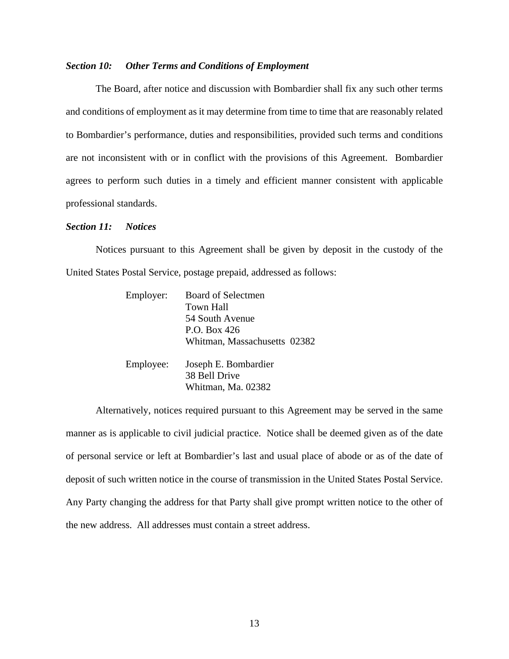#### *Section 10: Other Terms and Conditions of Employment*

 The Board, after notice and discussion with Bombardier shall fix any such other terms and conditions of employment as it may determine from time to time that are reasonably related to Bombardier's performance, duties and responsibilities, provided such terms and conditions are not inconsistent with or in conflict with the provisions of this Agreement. Bombardier agrees to perform such duties in a timely and efficient manner consistent with applicable professional standards.

#### *Section 11: Notices*

 Notices pursuant to this Agreement shall be given by deposit in the custody of the United States Postal Service, postage prepaid, addressed as follows:

| Employer: | <b>Board of Selectmen</b>    |  |
|-----------|------------------------------|--|
|           | Town Hall                    |  |
|           | 54 South Avenue              |  |
|           | P.O. Box 426                 |  |
|           | Whitman, Massachusetts 02382 |  |
| Employee: | Joseph E. Bombardier         |  |
|           | 38 Bell Drive                |  |
|           | Whitman, Ma. 02382           |  |

 Alternatively, notices required pursuant to this Agreement may be served in the same manner as is applicable to civil judicial practice. Notice shall be deemed given as of the date of personal service or left at Bombardier's last and usual place of abode or as of the date of deposit of such written notice in the course of transmission in the United States Postal Service. Any Party changing the address for that Party shall give prompt written notice to the other of the new address. All addresses must contain a street address.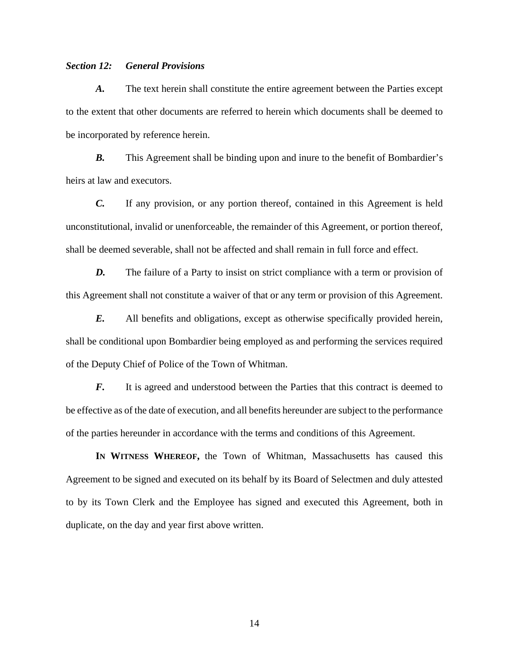# *Section 12: General Provisions*

*A.* The text herein shall constitute the entire agreement between the Parties except to the extent that other documents are referred to herein which documents shall be deemed to be incorporated by reference herein.

*B.* This Agreement shall be binding upon and inure to the benefit of Bombardier's heirs at law and executors.

*C.* If any provision, or any portion thereof, contained in this Agreement is held unconstitutional, invalid or unenforceable, the remainder of this Agreement, or portion thereof, shall be deemed severable, shall not be affected and shall remain in full force and effect.

*D.* The failure of a Party to insist on strict compliance with a term or provision of this Agreement shall not constitute a waiver of that or any term or provision of this Agreement.

*E.* All benefits and obligations, except as otherwise specifically provided herein, shall be conditional upon Bombardier being employed as and performing the services required of the Deputy Chief of Police of the Town of Whitman.

*F.* It is agreed and understood between the Parties that this contract is deemed to be effective as of the date of execution, and all benefits hereunder are subject to the performance of the parties hereunder in accordance with the terms and conditions of this Agreement.

**IN WITNESS WHEREOF,** the Town of Whitman, Massachusetts has caused this Agreement to be signed and executed on its behalf by its Board of Selectmen and duly attested to by its Town Clerk and the Employee has signed and executed this Agreement, both in duplicate, on the day and year first above written.